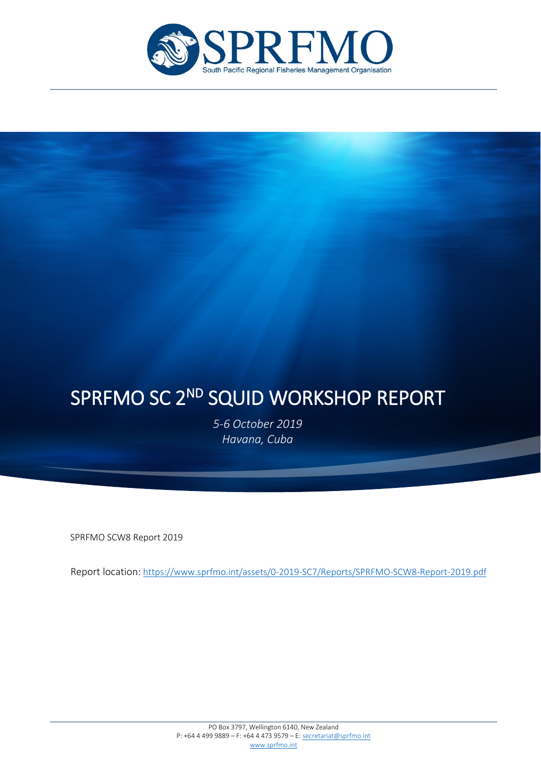

# SPRFMO SC 2<sup>ND</sup> SQUID WORKSHOP REPORT

*5-6 October 2019 Havana, Cuba*

SPRFMO SCW8 Report 2019

Report location: <https://www.sprfmo.int/assets/0-2019-SC7/Reports/SPRFMO-SCW8-Report-2019.pdf>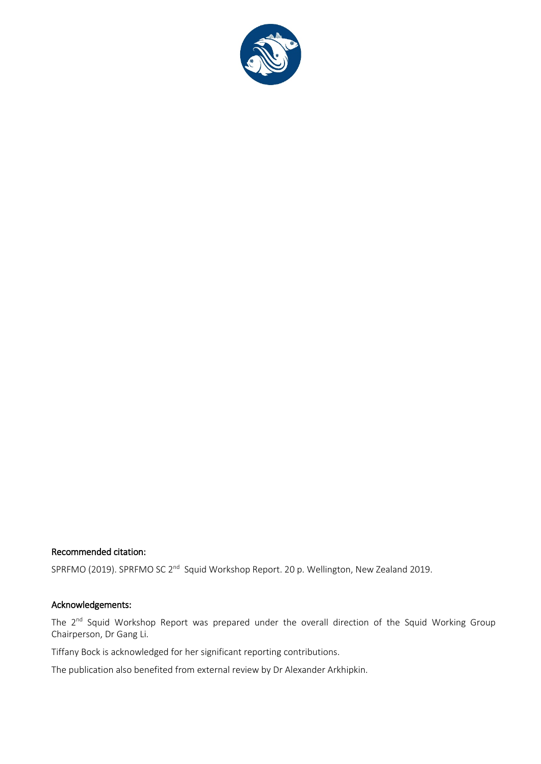

#### Recommended citation:

SPRFMO (2019). SPRFMO SC 2<sup>nd</sup> Squid Workshop Report. 20 p. Wellington, New Zealand 2019.

#### Acknowledgements:

The 2<sup>nd</sup> Squid Workshop Report was prepared under the overall direction of the Squid Working Group Chairperson, Dr Gang Li.

Tiffany Bock is acknowledged for her significant reporting contributions.

The publication also benefited from external review by Dr Alexander Arkhipkin.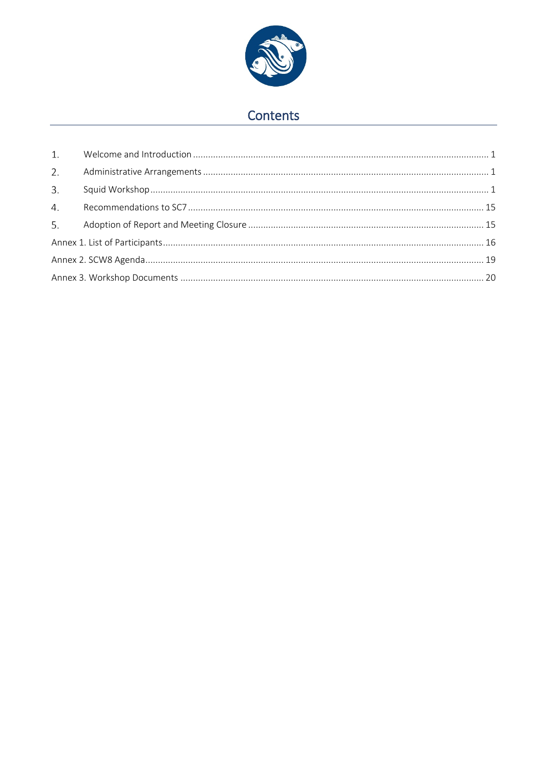

## Contents

| 2. |  |
|----|--|
| 3. |  |
| 4. |  |
|    |  |
|    |  |
|    |  |
|    |  |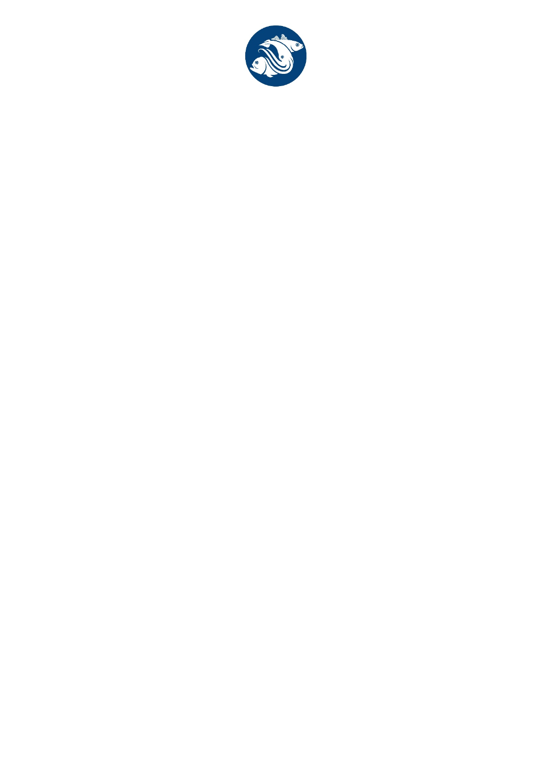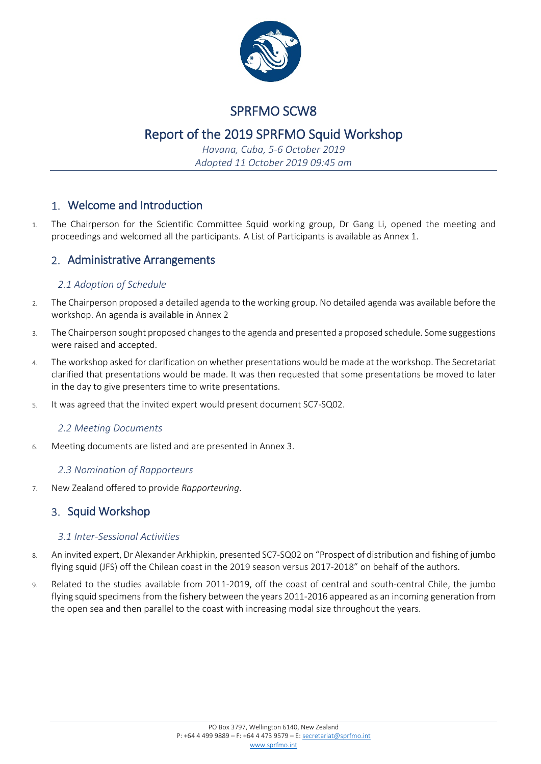

## SPRFMO SCW8

## Report of the 2019 SPRFMO Squid Workshop

*Havana, Cuba, 5-6 October 2019 Adopted 11 October 2019 09:45 am*

### <span id="page-4-0"></span>Welcome and Introduction

1. The Chairperson for the Scientific Committee Squid working group, Dr Gang Li, opened the meeting and proceedings and welcomed all the participants. A List of Participants is available as Annex 1.

### <span id="page-4-1"></span>2. Administrative Arrangements

### *2.1 Adoption of Schedule*

- 2. The Chairperson proposed a detailed agenda to the working group. No detailed agenda was available before the workshop. An agenda is available in Annex 2
- 3. The Chairperson sought proposed changes to the agenda and presented a proposed schedule. Some suggestions were raised and accepted.
- 4. The workshop asked for clarification on whether presentations would be made at the workshop. The Secretariat clarified that presentations would be made. It was then requested that some presentations be moved to later in the day to give presenters time to write presentations.
- 5. It was agreed that the invited expert would present document SC7-SQ02.

### *2.2 Meeting Documents*

6. Meeting documents are listed and are presented in Annex 3.

### *2.3 Nomination of Rapporteurs*

7. New Zealand offered to provide *Rapporteuring*.

### <span id="page-4-2"></span>3. Squid Workshop

### *3.1 Inter-Sessional Activities*

- 8. An invited expert, Dr Alexander Arkhipkin, presented SC7-SQ02 on "Prospect of distribution and fishing of jumbo flying squid (JFS) off the Chilean coast in the 2019 season versus 2017-2018" on behalf of the authors.
- 9. Related to the studies available from 2011-2019, off the coast of central and south-central Chile, the jumbo flying squid specimens from the fishery between the years 2011-2016 appeared as an incoming generation from the open sea and then parallel to the coast with increasing modal size throughout the years.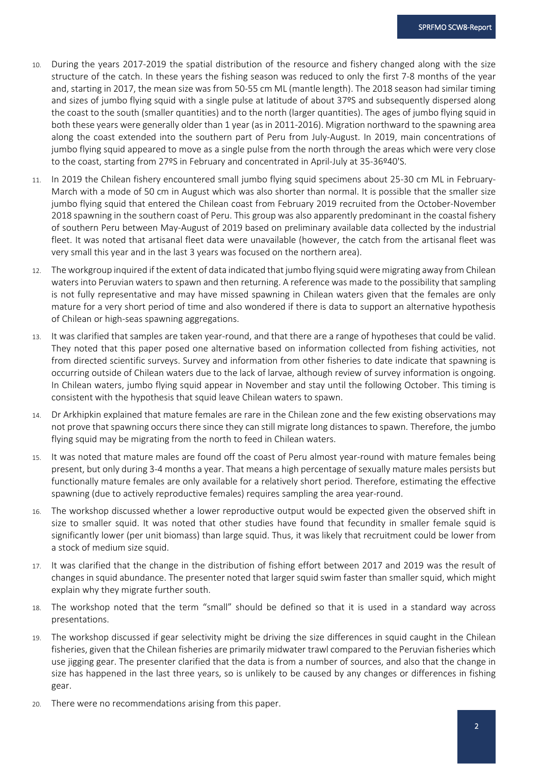- 10. During the years 2017-2019 the spatial distribution of the resource and fishery changed along with the size structure of the catch. In these years the fishing season was reduced to only the first 7-8 months of the year and, starting in 2017, the mean size was from 50-55 cm ML (mantle length). The 2018 season had similar timing and sizes of jumbo flying squid with a single pulse at latitude of about 37ºS and subsequently dispersed along the coast to the south (smaller quantities) and to the north (larger quantities). The ages of jumbo flying squid in both these years were generally older than 1 year (as in 2011-2016). Migration northward to the spawning area along the coast extended into the southern part of Peru from July-August. In 2019, main concentrations of jumbo flying squid appeared to move as a single pulse from the north through the areas which were very close to the coast, starting from 27ºS in February and concentrated in April-July at 35-36º40'S.
- 11. In 2019 the Chilean fishery encountered small jumbo flying squid specimens about 25-30 cm ML in February-March with a mode of 50 cm in August which was also shorter than normal. It is possible that the smaller size jumbo flying squid that entered the Chilean coast from February 2019 recruited from the October-November 2018 spawning in the southern coast of Peru. This group was also apparently predominant in the coastal fishery of southern Peru between May-August of 2019 based on preliminary available data collected by the industrial fleet. It was noted that artisanal fleet data were unavailable (however, the catch from the artisanal fleet was very small this year and in the last 3 years was focused on the northern area).
- 12. The workgroup inquired if the extent of data indicated that jumbo flying squid were migrating away from Chilean waters into Peruvian waters to spawn and then returning. A reference was made to the possibility that sampling is not fully representative and may have missed spawning in Chilean waters given that the females are only mature for a very short period of time and also wondered if there is data to support an alternative hypothesis of Chilean or high-seas spawning aggregations.
- 13. It was clarified that samples are taken year-round, and that there are a range of hypotheses that could be valid. They noted that this paper posed one alternative based on information collected from fishing activities, not from directed scientific surveys. Survey and information from other fisheries to date indicate that spawning is occurring outside of Chilean waters due to the lack of larvae, although review of survey information is ongoing. In Chilean waters, jumbo flying squid appear in November and stay until the following October. This timing is consistent with the hypothesis that squid leave Chilean waters to spawn.
- 14. Dr Arkhipkin explained that mature females are rare in the Chilean zone and the few existing observations may not prove that spawning occurs there since they can still migrate long distances to spawn. Therefore, the jumbo flying squid may be migrating from the north to feed in Chilean waters.
- 15. It was noted that mature males are found off the coast of Peru almost year-round with mature females being present, but only during 3-4 months a year. That means a high percentage of sexually mature males persists but functionally mature females are only available for a relatively short period. Therefore, estimating the effective spawning (due to actively reproductive females) requires sampling the area year-round.
- 16. The workshop discussed whether a lower reproductive output would be expected given the observed shift in size to smaller squid. It was noted that other studies have found that fecundity in smaller female squid is significantly lower (per unit biomass) than large squid. Thus, it was likely that recruitment could be lower from a stock of medium size squid.
- 17. It was clarified that the change in the distribution of fishing effort between 2017 and 2019 was the result of changes in squid abundance. The presenter noted that larger squid swim faster than smaller squid, which might explain why they migrate further south.
- 18. The workshop noted that the term "small" should be defined so that it is used in a standard way across presentations.
- 19. The workshop discussed if gear selectivity might be driving the size differences in squid caught in the Chilean fisheries, given that the Chilean fisheries are primarily midwater trawl compared to the Peruvian fisheries which use jigging gear. The presenter clarified that the data is from a number of sources, and also that the change in size has happened in the last three years, so is unlikely to be caused by any changes or differences in fishing gear.
- 20. There were no recommendations arising from this paper.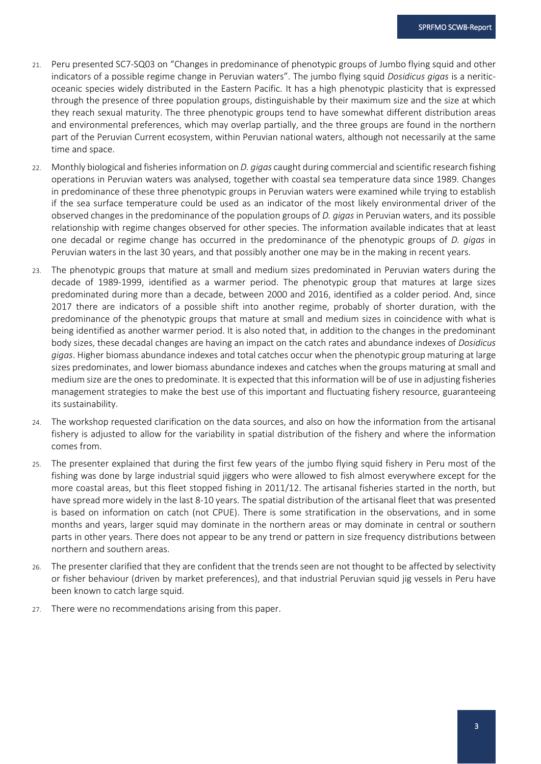- 21. Peru presented SC7-SQ03 on "Changes in predominance of phenotypic groups of Jumbo flying squid and other indicators of a possible regime change in Peruvian waters". The jumbo flying squid *Dosidicus gigas* is a neriticoceanic species widely distributed in the Eastern Pacific. It has a high phenotypic plasticity that is expressed through the presence of three population groups, distinguishable by their maximum size and the size at which they reach sexual maturity. The three phenotypic groups tend to have somewhat different distribution areas and environmental preferences, which may overlap partially, and the three groups are found in the northern part of the Peruvian Current ecosystem, within Peruvian national waters, although not necessarily at the same time and space.
- 22. Monthly biological and fisheries information on *D. gigas* caught during commercial and scientific research fishing operations in Peruvian waters was analysed, together with coastal sea temperature data since 1989. Changes in predominance of these three phenotypic groups in Peruvian waters were examined while trying to establish if the sea surface temperature could be used as an indicator of the most likely environmental driver of the observed changes in the predominance of the population groups of *D. gigas* in Peruvian waters, and its possible relationship with regime changes observed for other species. The information available indicates that at least one decadal or regime change has occurred in the predominance of the phenotypic groups of *D. gigas* in Peruvian waters in the last 30 years, and that possibly another one may be in the making in recent years.
- 23. The phenotypic groups that mature at small and medium sizes predominated in Peruvian waters during the decade of 1989-1999, identified as a warmer period. The phenotypic group that matures at large sizes predominated during more than a decade, between 2000 and 2016, identified as a colder period. And, since 2017 there are indicators of a possible shift into another regime, probably of shorter duration, with the predominance of the phenotypic groups that mature at small and medium sizes in coincidence with what is being identified as another warmer period. It is also noted that, in addition to the changes in the predominant body sizes, these decadal changes are having an impact on the catch rates and abundance indexes of *Dosidicus gigas*. Higher biomass abundance indexes and total catches occur when the phenotypic group maturing at large sizes predominates, and lower biomass abundance indexes and catches when the groups maturing at small and medium size are the ones to predominate. It is expected that this information will be of use in adjusting fisheries management strategies to make the best use of this important and fluctuating fishery resource, guaranteeing its sustainability.
- 24. The workshop requested clarification on the data sources, and also on how the information from the artisanal fishery is adjusted to allow for the variability in spatial distribution of the fishery and where the information comes from.
- 25. The presenter explained that during the first few years of the jumbo flying squid fishery in Peru most of the fishing was done by large industrial squid jiggers who were allowed to fish almost everywhere except for the more coastal areas, but this fleet stopped fishing in 2011/12. The artisanal fisheries started in the north, but have spread more widely in the last 8-10 years. The spatial distribution of the artisanal fleet that was presented is based on information on catch (not CPUE). There is some stratification in the observations, and in some months and years, larger squid may dominate in the northern areas or may dominate in central or southern parts in other years. There does not appear to be any trend or pattern in size frequency distributions between northern and southern areas.
- 26. The presenter clarified that they are confident that the trends seen are not thought to be affected by selectivity or fisher behaviour (driven by market preferences), and that industrial Peruvian squid jig vessels in Peru have been known to catch large squid.
- 27. There were no recommendations arising from this paper.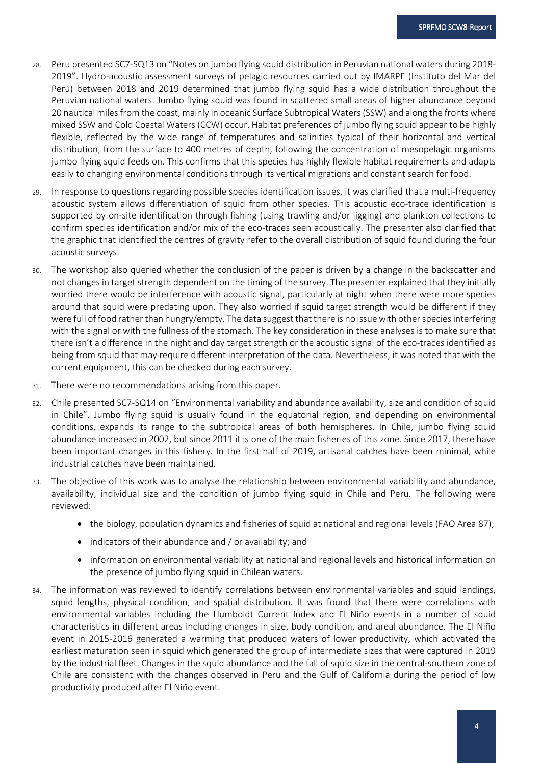- 28. Peru presented SC7-SQ13 on "Notes on jumbo flying squid distribution in Peruvian national waters during 2018- 2019". Hydro-acoustic assessment surveys of pelagic resources carried out by IMARPE (Instituto del Mar del Perú) between 2018 and 2019 determined that jumbo flying squid has a wide distribution throughout the Peruvian national waters. Jumbo flying squid was found in scattered small areas of higher abundance beyond 20 nautical miles from the coast, mainly in oceanic Surface Subtropical Waters (SSW) and along the fronts where mixed SSW and Cold Coastal Waters (CCW) occur. Habitat preferences of jumbo flying squid appear to be highly flexible, reflected by the wide range of temperatures and salinities typical of their horizontal and vertical distribution, from the surface to 400 metres of depth, following the concentration of mesopelagic organisms jumbo flying squid feeds on. This confirms that this species has highly flexible habitat requirements and adapts easily to changing environmental conditions through its vertical migrations and constant search for food.
- 29. In response to questions regarding possible species identification issues, it was clarified that a multi-frequency acoustic system allows differentiation of squid from other species. This acoustic eco-trace identification is supported by on-site identification through fishing (using trawling and/or jigging) and plankton collections to confirm species identification and/or mix of the eco-traces seen acoustically. The presenter also clarified that the graphic that identified the centres of gravity refer to the overall distribution of squid found during the four acoustic surveys.
- 30. The workshop also queried whether the conclusion of the paper is driven by a change in the backscatter and not changes in target strength dependent on the timing of the survey. The presenter explained that they initially worried there would be interference with acoustic signal, particularly at night when there were more species around that squid were predating upon. They also worried if squid target strength would be different if they were full of food rather than hungry/empty. The data suggest that there is no issue with other species interfering with the signal or with the fullness of the stomach. The key consideration in these analyses is to make sure that there isn't a difference in the night and day target strength or the acoustic signal of the eco-traces identified as being from squid that may require different interpretation of the data. Nevertheless, it was noted that with the current equipment, this can be checked during each survey.
- 31. There were no recommendations arising from this paper.
- 32. Chile presented SC7-SQ14 on "Environmental variability and abundance availability, size and condition of squid in Chile". Jumbo flying squid is usually found in the equatorial region, and depending on environmental conditions, expands its range to the subtropical areas of both hemispheres. In Chile, jumbo flying squid abundance increased in 2002, but since 2011 it is one of the main fisheries of this zone. Since 2017, there have been important changes in this fishery. In the first half of 2019, artisanal catches have been minimal, while industrial catches have been maintained.
- 33. The objective of this work was to analyse the relationship between environmental variability and abundance, availability, individual size and the condition of jumbo flying squid in Chile and Peru. The following were reviewed:
	- the biology, population dynamics and fisheries of squid at national and regional levels (FAO Area 87);
	- indicators of their abundance and / or availability; and
	- information on environmental variability at national and regional levels and historical information on the presence of jumbo flying squid in Chilean waters.
- 34. The information was reviewed to identify correlations between environmental variables and squid landings, squid lengths, physical condition, and spatial distribution. It was found that there were correlations with environmental variables including the Humboldt Current Index and El Niño events in a number of squid characteristics in different areas including changes in size, body condition, and areal abundance. The El Niño event in 2015-2016 generated a warming that produced waters of lower productivity, which activated the earliest maturation seen in squid which generated the group of intermediate sizes that were captured in 2019 by the industrial fleet. Changes in the squid abundance and the fall of squid size in the central-southern zone of Chile are consistent with the changes observed in Peru and the Gulf of California during the period of low productivity produced after El Niño event.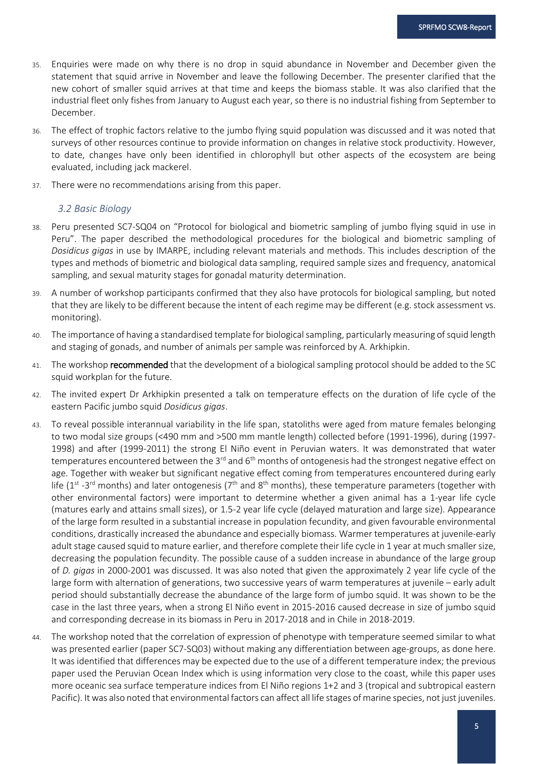- 35. Enquiries were made on why there is no drop in squid abundance in November and December given the statement that squid arrive in November and leave the following December. The presenter clarified that the new cohort of smaller squid arrives at that time and keeps the biomass stable. It was also clarified that the industrial fleet only fishes from January to August each year, so there is no industrial fishing from September to December.
- 36. The effect of trophic factors relative to the jumbo flying squid population was discussed and it was noted that surveys of other resources continue to provide information on changes in relative stock productivity. However, to date, changes have only been identified in chlorophyll but other aspects of the ecosystem are being evaluated, including jack mackerel.
- 37. There were no recommendations arising from this paper.

#### *3.2 Basic Biology*

- 38. Peru presented SC7-SQ04 on "Protocol for biological and biometric sampling of jumbo flying squid in use in Peru". The paper described the methodological procedures for the biological and biometric sampling of *Dosidicus gigas* in use by IMARPE, including relevant materials and methods. This includes description of the types and methods of biometric and biological data sampling, required sample sizes and frequency, anatomical sampling, and sexual maturity stages for gonadal maturity determination.
- 39. A number of workshop participants confirmed that they also have protocols for biological sampling, but noted that they are likely to be different because the intent of each regime may be different (e.g. stock assessment vs. monitoring).
- 40. The importance of having a standardised template for biological sampling, particularly measuring of squid length and staging of gonads, and number of animals per sample was reinforced by A. Arkhipkin.
- 41. The workshop recommended that the development of a biological sampling protocol should be added to the SC squid workplan for the future.
- 42. The invited expert Dr Arkhipkin presented a talk on temperature effects on the duration of life cycle of the eastern Pacific jumbo squid *Dosidicus gigas*.
- 43. To reveal possible interannual variability in the life span, statoliths were aged from mature females belonging to two modal size groups (<490 mm and >500 mm mantle length) collected before (1991-1996), during (1997- 1998) and after (1999-2011) the strong El Niño event in Peruvian waters. It was demonstrated that water temperatures encountered between the 3<sup>rd</sup> and 6<sup>th</sup> months of ontogenesis had the strongest negative effect on age. Together with weaker but significant negative effect coming from temperatures encountered during early life ( $1^{st}$  -3<sup>rd</sup> months) and later ontogenesis ( $7^{th}$  and  $8^{th}$  months), these temperature parameters (together with other environmental factors) were important to determine whether a given animal has a 1-year life cycle (matures early and attains small sizes), or 1.5-2 year life cycle (delayed maturation and large size). Appearance of the large form resulted in a substantial increase in population fecundity, and given favourable environmental conditions, drastically increased the abundance and especially biomass. Warmer temperatures at juvenile-early adult stage caused squid to mature earlier, and therefore complete their life cycle in 1 year at much smaller size, decreasing the population fecundity. The possible cause of a sudden increase in abundance of the large group of *D. gigas* in 2000-2001 was discussed. It was also noted that given the approximately 2 year life cycle of the large form with alternation of generations, two successive years of warm temperatures at juvenile – early adult period should substantially decrease the abundance of the large form of jumbo squid. It was shown to be the case in the last three years, when a strong El Niño event in 2015-2016 caused decrease in size of jumbo squid and corresponding decrease in its biomass in Peru in 2017-2018 and in Chile in 2018-2019.
- 44. The workshop noted that the correlation of expression of phenotype with temperature seemed similar to what was presented earlier (paper SC7-SQ03) without making any differentiation between age-groups, as done here. It was identified that differences may be expected due to the use of a different temperature index; the previous paper used the Peruvian Ocean Index which is using information very close to the coast, while this paper uses more oceanic sea surface temperature indices from El Niño regions 1+2 and 3 (tropical and subtropical eastern Pacific). It was also noted that environmental factors can affect all life stages of marine species, not just juveniles.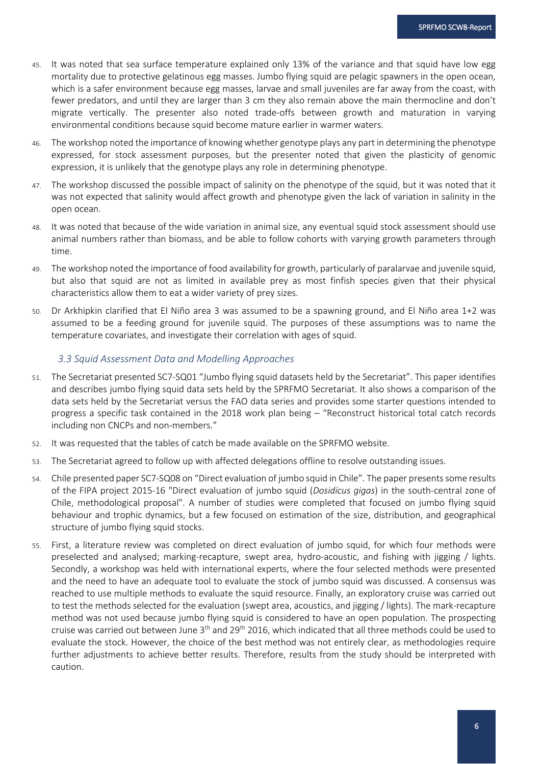- 45. It was noted that sea surface temperature explained only 13% of the variance and that squid have low egg mortality due to protective gelatinous egg masses. Jumbo flying squid are pelagic spawners in the open ocean, which is a safer environment because egg masses, larvae and small juveniles are far away from the coast, with fewer predators, and until they are larger than 3 cm they also remain above the main thermocline and don't migrate vertically. The presenter also noted trade-offs between growth and maturation in varying environmental conditions because squid become mature earlier in warmer waters.
- 46. The workshop noted the importance of knowing whether genotype plays any part in determining the phenotype expressed, for stock assessment purposes, but the presenter noted that given the plasticity of genomic expression, it is unlikely that the genotype plays any role in determining phenotype.
- 47. The workshop discussed the possible impact of salinity on the phenotype of the squid, but it was noted that it was not expected that salinity would affect growth and phenotype given the lack of variation in salinity in the open ocean.
- 48. It was noted that because of the wide variation in animal size, any eventual squid stock assessment should use animal numbers rather than biomass, and be able to follow cohorts with varying growth parameters through time.
- 49. The workshop noted the importance of food availability for growth, particularly of paralarvae and juvenile squid, but also that squid are not as limited in available prey as most finfish species given that their physical characteristics allow them to eat a wider variety of prey sizes.
- 50. Dr Arkhipkin clarified that El Niño area 3 was assumed to be a spawning ground, and El Niño area 1+2 was assumed to be a feeding ground for juvenile squid. The purposes of these assumptions was to name the temperature covariates, and investigate their correlation with ages of squid.

#### *3.3 Squid Assessment Data and Modelling Approaches*

- 51. The Secretariat presented SC7-SQ01 "Jumbo flying squid datasets held by the Secretariat". This paper identifies and describes jumbo flying squid data sets held by the SPRFMO Secretariat. It also shows a comparison of the data sets held by the Secretariat versus the FAO data series and provides some starter questions intended to progress a specific task contained in the 2018 work plan being – "Reconstruct historical total catch records including non CNCPs and non-members."
- 52. It was requested that the tables of catch be made available on the SPRFMO website.
- 53. The Secretariat agreed to follow up with affected delegations offline to resolve outstanding issues.
- 54. Chile presented paper SC7-SQ08 on "Direct evaluation of jumbo squid in Chile". The paper presents some results of the FIPA project 2015-16 "Direct evaluation of jumbo squid (*Dosidicus gigas*) in the south-central zone of Chile, methodological proposal". A number of studies were completed that focused on jumbo flying squid behaviour and trophic dynamics, but a few focused on estimation of the size, distribution, and geographical structure of jumbo flying squid stocks.
- 55. First, a literature review was completed on direct evaluation of jumbo squid, for which four methods were preselected and analysed; marking-recapture, swept area, hydro-acoustic, and fishing with jigging / lights. Secondly, a workshop was held with international experts, where the four selected methods were presented and the need to have an adequate tool to evaluate the stock of jumbo squid was discussed. A consensus was reached to use multiple methods to evaluate the squid resource. Finally, an exploratory cruise was carried out to test the methods selected for the evaluation (swept area, acoustics, and jigging / lights). The mark-recapture method was not used because jumbo flying squid is considered to have an open population. The prospecting cruise was carried out between June 3<sup>th</sup> and 29<sup>th</sup> 2016, which indicated that all three methods could be used to evaluate the stock. However, the choice of the best method was not entirely clear, as methodologies require further adjustments to achieve better results. Therefore, results from the study should be interpreted with caution.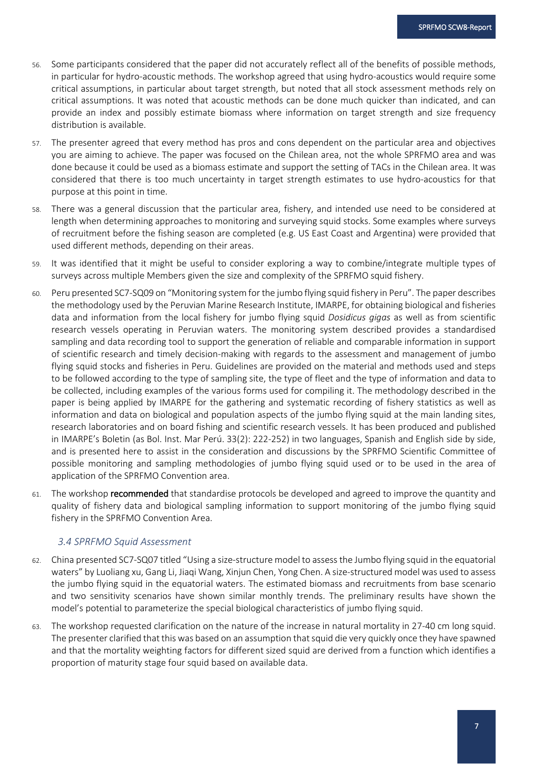- 56. Some participants considered that the paper did not accurately reflect all of the benefits of possible methods, in particular for hydro-acoustic methods. The workshop agreed that using hydro-acoustics would require some critical assumptions, in particular about target strength, but noted that all stock assessment methods rely on critical assumptions. It was noted that acoustic methods can be done much quicker than indicated, and can provide an index and possibly estimate biomass where information on target strength and size frequency distribution is available.
- 57. The presenter agreed that every method has pros and cons dependent on the particular area and objectives you are aiming to achieve. The paper was focused on the Chilean area, not the whole SPRFMO area and was done because it could be used as a biomass estimate and support the setting of TACs in the Chilean area. It was considered that there is too much uncertainty in target strength estimates to use hydro-acoustics for that purpose at this point in time.
- 58. There was a general discussion that the particular area, fishery, and intended use need to be considered at length when determining approaches to monitoring and surveying squid stocks. Some examples where surveys of recruitment before the fishing season are completed (e.g. US East Coast and Argentina) were provided that used different methods, depending on their areas.
- 59. It was identified that it might be useful to consider exploring a way to combine/integrate multiple types of surveys across multiple Members given the size and complexity of the SPRFMO squid fishery.
- 60. Peru presented SC7-SQ09 on "Monitoring system for the jumbo flying squid fishery in Peru". The paper describes the methodology used by the Peruvian Marine Research Institute, IMARPE, for obtaining biological and fisheries data and information from the local fishery for jumbo flying squid *Dosidicus gigas* as well as from scientific research vessels operating in Peruvian waters. The monitoring system described provides a standardised sampling and data recording tool to support the generation of reliable and comparable information in support of scientific research and timely decision-making with regards to the assessment and management of jumbo flying squid stocks and fisheries in Peru. Guidelines are provided on the material and methods used and steps to be followed according to the type of sampling site, the type of fleet and the type of information and data to be collected, including examples of the various forms used for compiling it. The methodology described in the paper is being applied by IMARPE for the gathering and systematic recording of fishery statistics as well as information and data on biological and population aspects of the jumbo flying squid at the main landing sites, research laboratories and on board fishing and scientific research vessels. It has been produced and published in IMARPE's Boletin (as Bol. Inst. Mar Perú. 33(2): 222-252) in two languages, Spanish and English side by side, and is presented here to assist in the consideration and discussions by the SPRFMO Scientific Committee of possible monitoring and sampling methodologies of jumbo flying squid used or to be used in the area of application of the SPRFMO Convention area.
- 61. The workshop **recommended** that standardise protocols be developed and agreed to improve the quantity and quality of fishery data and biological sampling information to support monitoring of the jumbo flying squid fishery in the SPRFMO Convention Area.

#### *3.4 SPRFMO Squid Assessment*

- 62. China presented SC7-SQ07 titled "Using a size-structure model to assess the Jumbo flying squid in the equatorial waters" by Luoliang xu, Gang Li, Jiaqi Wang, Xinjun Chen, Yong Chen. A size-structured model was used to assess the jumbo flying squid in the equatorial waters. The estimated biomass and recruitments from base scenario and two sensitivity scenarios have shown similar monthly trends. The preliminary results have shown the model's potential to parameterize the special biological characteristics of jumbo flying squid.
- 63. The workshop requested clarification on the nature of the increase in natural mortality in 27-40 cm long squid. The presenter clarified that this was based on an assumption that squid die very quickly once they have spawned and that the mortality weighting factors for different sized squid are derived from a function which identifies a proportion of maturity stage four squid based on available data.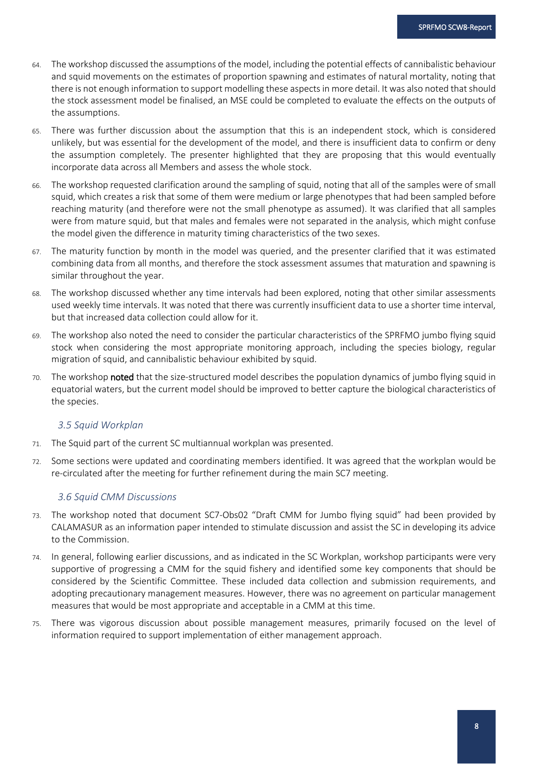- 64. The workshop discussed the assumptions of the model, including the potential effects of cannibalistic behaviour and squid movements on the estimates of proportion spawning and estimates of natural mortality, noting that there is not enough information to support modelling these aspects in more detail. It was also noted that should the stock assessment model be finalised, an MSE could be completed to evaluate the effects on the outputs of the assumptions.
- 65. There was further discussion about the assumption that this is an independent stock, which is considered unlikely, but was essential for the development of the model, and there is insufficient data to confirm or deny the assumption completely. The presenter highlighted that they are proposing that this would eventually incorporate data across all Members and assess the whole stock.
- 66. The workshop requested clarification around the sampling of squid, noting that all of the samples were of small squid, which creates a risk that some of them were medium or large phenotypes that had been sampled before reaching maturity (and therefore were not the small phenotype as assumed). It was clarified that all samples were from mature squid, but that males and females were not separated in the analysis, which might confuse the model given the difference in maturity timing characteristics of the two sexes.
- 67. The maturity function by month in the model was queried, and the presenter clarified that it was estimated combining data from all months, and therefore the stock assessment assumes that maturation and spawning is similar throughout the year.
- 68. The workshop discussed whether any time intervals had been explored, noting that other similar assessments used weekly time intervals. It was noted that there was currently insufficient data to use a shorter time interval, but that increased data collection could allow for it.
- 69. The workshop also noted the need to consider the particular characteristics of the SPRFMO jumbo flying squid stock when considering the most appropriate monitoring approach, including the species biology, regular migration of squid, and cannibalistic behaviour exhibited by squid.
- 70. The workshop noted that the size-structured model describes the population dynamics of jumbo flying squid in equatorial waters, but the current model should be improved to better capture the biological characteristics of the species.

### *3.5 Squid Workplan*

- 71. The Squid part of the current SC multiannual workplan was presented.
- 72. Some sections were updated and coordinating members identified. It was agreed that the workplan would be re-circulated after the meeting for further refinement during the main SC7 meeting.

### *3.6 Squid CMM Discussions*

- 73. The workshop noted that document SC7-Obs02 "Draft CMM for Jumbo flying squid" had been provided by CALAMASUR as an information paper intended to stimulate discussion and assist the SC in developing its advice to the Commission.
- 74. In general, following earlier discussions, and as indicated in the SC Workplan, workshop participants were very supportive of progressing a CMM for the squid fishery and identified some key components that should be considered by the Scientific Committee. These included data collection and submission requirements, and adopting precautionary management measures. However, there was no agreement on particular management measures that would be most appropriate and acceptable in a CMM at this time.
- 75. There was vigorous discussion about possible management measures, primarily focused on the level of information required to support implementation of either management approach.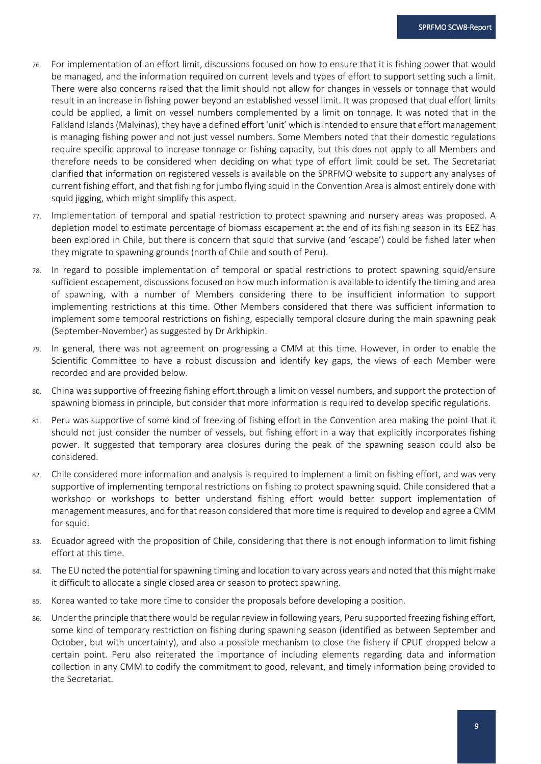- 76. For implementation of an effort limit, discussions focused on how to ensure that it is fishing power that would be managed, and the information required on current levels and types of effort to support setting such a limit. There were also concerns raised that the limit should not allow for changes in vessels or tonnage that would result in an increase in fishing power beyond an established vessel limit. It was proposed that dual effort limits could be applied, a limit on vessel numbers complemented by a limit on tonnage. It was noted that in the Falkland Islands (Malvinas), they have a defined effort 'unit' which is intended to ensure that effort management is managing fishing power and not just vessel numbers. Some Members noted that their domestic regulations require specific approval to increase tonnage or fishing capacity, but this does not apply to all Members and therefore needs to be considered when deciding on what type of effort limit could be set. The Secretariat clarified that information on registered vessels is available on the SPRFMO website to support any analyses of current fishing effort, and that fishing for jumbo flying squid in the Convention Area is almost entirely done with squid jigging, which might simplify this aspect.
- 77. Implementation of temporal and spatial restriction to protect spawning and nursery areas was proposed. A depletion model to estimate percentage of biomass escapement at the end of its fishing season in its EEZ has been explored in Chile, but there is concern that squid that survive (and 'escape') could be fished later when they migrate to spawning grounds (north of Chile and south of Peru).
- 78. In regard to possible implementation of temporal or spatial restrictions to protect spawning squid/ensure sufficient escapement, discussions focused on how much information is available to identify the timing and area of spawning, with a number of Members considering there to be insufficient information to support implementing restrictions at this time. Other Members considered that there was sufficient information to implement some temporal restrictions on fishing, especially temporal closure during the main spawning peak (September-November) as suggested by Dr Arkhipkin.
- 79. In general, there was not agreement on progressing a CMM at this time. However, in order to enable the Scientific Committee to have a robust discussion and identify key gaps, the views of each Member were recorded and are provided below.
- 80. China was supportive of freezing fishing effort through a limit on vessel numbers, and support the protection of spawning biomass in principle, but consider that more information is required to develop specific regulations.
- 81. Peru was supportive of some kind of freezing of fishing effort in the Convention area making the point that it should not just consider the number of vessels, but fishing effort in a way that explicitly incorporates fishing power. It suggested that temporary area closures during the peak of the spawning season could also be considered.
- 82. Chile considered more information and analysis is required to implement a limit on fishing effort, and was very supportive of implementing temporal restrictions on fishing to protect spawning squid. Chile considered that a workshop or workshops to better understand fishing effort would better support implementation of management measures, and for that reason considered that more time is required to develop and agree a CMM for squid.
- 83. Ecuador agreed with the proposition of Chile, considering that there is not enough information to limit fishing effort at this time.
- 84. The EU noted the potential for spawning timing and location to vary across years and noted that this might make it difficult to allocate a single closed area or season to protect spawning.
- 85. Korea wanted to take more time to consider the proposals before developing a position.
- 86. Under the principle that there would be regular review in following years, Peru supported freezing fishing effort, some kind of temporary restriction on fishing during spawning season (identified as between September and October, but with uncertainty), and also a possible mechanism to close the fishery if CPUE dropped below a certain point. Peru also reiterated the importance of including elements regarding data and information collection in any CMM to codify the commitment to good, relevant, and timely information being provided to the Secretariat.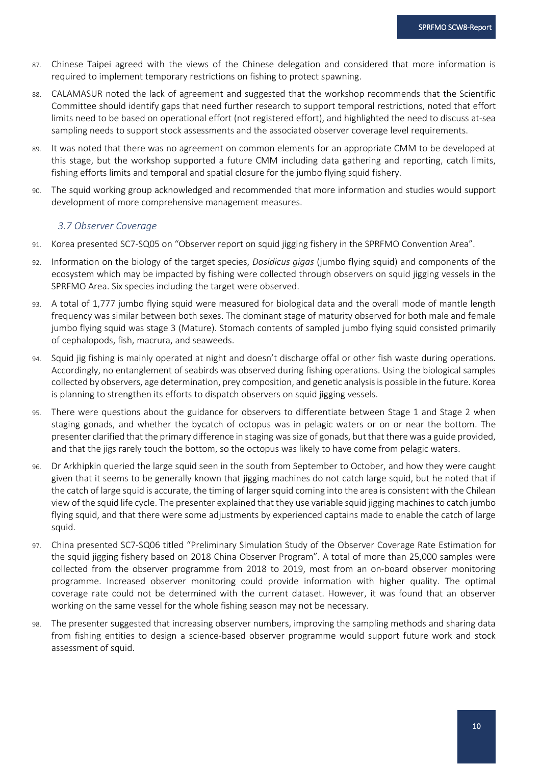- 87. Chinese Taipei agreed with the views of the Chinese delegation and considered that more information is required to implement temporary restrictions on fishing to protect spawning.
- 88. CALAMASUR noted the lack of agreement and suggested that the workshop recommends that the Scientific Committee should identify gaps that need further research to support temporal restrictions, noted that effort limits need to be based on operational effort (not registered effort), and highlighted the need to discuss at-sea sampling needs to support stock assessments and the associated observer coverage level requirements.
- 89. It was noted that there was no agreement on common elements for an appropriate CMM to be developed at this stage, but the workshop supported a future CMM including data gathering and reporting, catch limits, fishing efforts limits and temporal and spatial closure for the jumbo flying squid fishery.
- 90. The squid working group acknowledged and recommended that more information and studies would support development of more comprehensive management measures.

#### *3.7 Observer Coverage*

- 91. Korea presented SC7-SQ05 on "Observer report on squid jigging fishery in the SPRFMO Convention Area".
- 92. Information on the biology of the target species, *Dosidicus gigas* (jumbo flying squid) and components of the ecosystem which may be impacted by fishing were collected through observers on squid jigging vessels in the SPRFMO Area. Six species including the target were observed.
- 93. A total of 1,777 jumbo flying squid were measured for biological data and the overall mode of mantle length frequency was similar between both sexes. The dominant stage of maturity observed for both male and female jumbo flying squid was stage 3 (Mature). Stomach contents of sampled jumbo flying squid consisted primarily of cephalopods, fish, macrura, and seaweeds.
- 94. Squid jig fishing is mainly operated at night and doesn't discharge offal or other fish waste during operations. Accordingly, no entanglement of seabirds was observed during fishing operations. Using the biological samples collected by observers, age determination, prey composition, and genetic analysis is possible in the future. Korea is planning to strengthen its efforts to dispatch observers on squid jigging vessels.
- 95. There were questions about the guidance for observers to differentiate between Stage 1 and Stage 2 when staging gonads, and whether the bycatch of octopus was in pelagic waters or on or near the bottom. The presenter clarified that the primary difference in staging was size of gonads, but that there was a guide provided, and that the jigs rarely touch the bottom, so the octopus was likely to have come from pelagic waters.
- 96. Dr Arkhipkin queried the large squid seen in the south from September to October, and how they were caught given that it seems to be generally known that jigging machines do not catch large squid, but he noted that if the catch of large squid is accurate, the timing of larger squid coming into the area is consistent with the Chilean view of the squid life cycle. The presenter explained that they use variable squid jigging machines to catch jumbo flying squid, and that there were some adjustments by experienced captains made to enable the catch of large squid.
- 97. China presented SC7-SQ06 titled "Preliminary Simulation Study of the Observer Coverage Rate Estimation for the squid jigging fishery based on 2018 China Observer Program". A total of more than 25,000 samples were collected from the observer programme from 2018 to 2019, most from an on-board observer monitoring programme. Increased observer monitoring could provide information with higher quality. The optimal coverage rate could not be determined with the current dataset. However, it was found that an observer working on the same vessel for the whole fishing season may not be necessary.
- 98. The presenter suggested that increasing observer numbers, improving the sampling methods and sharing data from fishing entities to design a science-based observer programme would support future work and stock assessment of squid.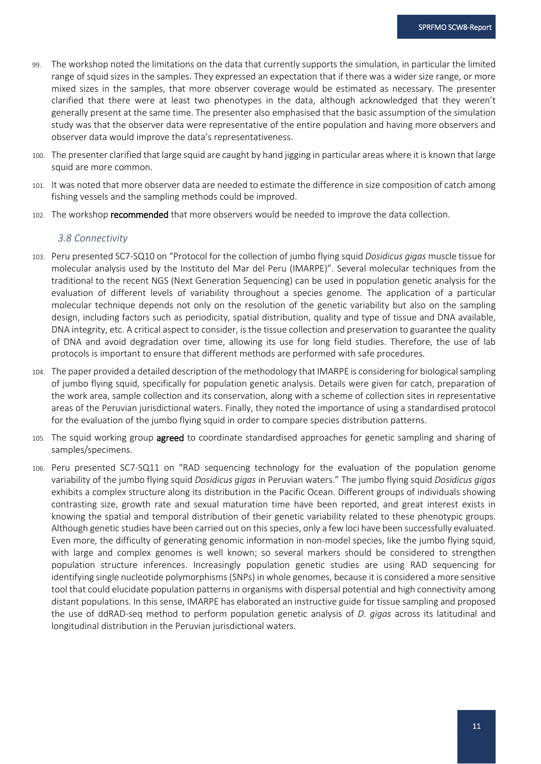- 99. The workshop noted the limitations on the data that currently supports the simulation, in particular the limited range of squid sizes in the samples. They expressed an expectation that if there was a wider size range, or more mixed sizes in the samples, that more observer coverage would be estimated as necessary. The presenter clarified that there were at least two phenotypes in the data, although acknowledged that they weren't generally present at the same time. The presenter also emphasised that the basic assumption of the simulation study was that the observer data were representative of the entire population and having more observers and observer data would improve the data's representativeness.
- 100. The presenter clarified that large squid are caught by hand jigging in particular areas where it is known that large squid are more common.
- 101. It was noted that more observer data are needed to estimate the difference in size composition of catch among fishing vessels and the sampling methods could be improved.
- 102. The workshop recommended that more observers would be needed to improve the data collection.

#### *3.8 Connectivity*

- 103. Peru presented SC7-SQ10 on "Protocol for the collection of jumbo flying squid *Dosidicus gigas* muscle tissue for molecular analysis used by the Instituto del Mar del Peru (IMARPE)". Several molecular techniques from the traditional to the recent NGS (Next Generation Sequencing) can be used in population genetic analysis for the evaluation of different levels of variability throughout a species genome. The application of a particular molecular technique depends not only on the resolution of the genetic variability but also on the sampling design, including factors such as periodicity, spatial distribution, quality and type of tissue and DNA available, DNA integrity, etc. A critical aspect to consider, is the tissue collection and preservation to guarantee the quality of DNA and avoid degradation over time, allowing its use for long field studies. Therefore, the use of lab protocols is important to ensure that different methods are performed with safe procedures.
- 104. The paper provided a detailed description of the methodology that IMARPE is considering for biological sampling of jumbo flying squid, specifically for population genetic analysis. Details were given for catch, preparation of the work area, sample collection and its conservation, along with a scheme of collection sites in representative areas of the Peruvian jurisdictional waters. Finally, they noted the importance of using a standardised protocol for the evaluation of the jumbo flying squid in order to compare species distribution patterns.
- 105. The squid working group **agreed** to coordinate standardised approaches for genetic sampling and sharing of samples/specimens.
- 106. Peru presented SC7-SQ11 on "RAD sequencing technology for the evaluation of the population genome variability of the jumbo flying squid *Dosidicus gigas* in Peruvian waters." The jumbo flying squid *Dosidicus gigas* exhibits a complex structure along its distribution in the Pacific Ocean. Different groups of individuals showing contrasting size, growth rate and sexual maturation time have been reported, and great interest exists in knowing the spatial and temporal distribution of their genetic variability related to these phenotypic groups. Although genetic studies have been carried out on this species, only a few loci have been successfully evaluated. Even more, the difficulty of generating genomic information in non-model species, like the jumbo flying squid, with large and complex genomes is well known; so several markers should be considered to strengthen population structure inferences. Increasingly population genetic studies are using RAD sequencing for identifying single nucleotide polymorphisms (SNPs) in whole genomes, because it is considered a more sensitive tool that could elucidate population patterns in organisms with dispersal potential and high connectivity among distant populations. In this sense, IMARPE has elaborated an instructive guide for tissue sampling and proposed the use of ddRAD-seq method to perform population genetic analysis of *D. gigas* across its latitudinal and longitudinal distribution in the Peruvian jurisdictional waters.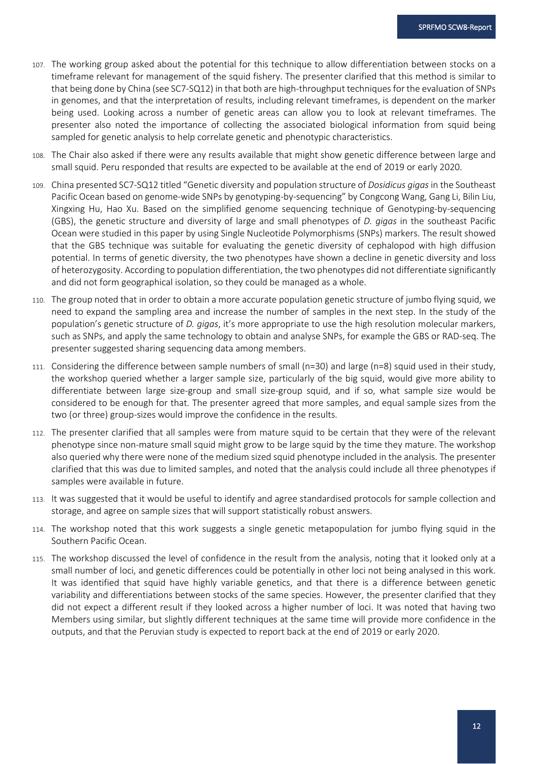- 107. The working group asked about the potential for this technique to allow differentiation between stocks on a timeframe relevant for management of the squid fishery. The presenter clarified that this method is similar to that being done by China (see SC7-SQ12) in that both are high-throughput techniques for the evaluation of SNPs in genomes, and that the interpretation of results, including relevant timeframes, is dependent on the marker being used. Looking across a number of genetic areas can allow you to look at relevant timeframes. The presenter also noted the importance of collecting the associated biological information from squid being sampled for genetic analysis to help correlate genetic and phenotypic characteristics.
- 108. The Chair also asked if there were any results available that might show genetic difference between large and small squid. Peru responded that results are expected to be available at the end of 2019 or early 2020.
- 109. China presented SC7-SQ12 titled "Genetic diversity and population structure of *Dosidicus gigas* in the Southeast Pacific Ocean based on genome-wide SNPs by genotyping-by-sequencing" by Congcong Wang, Gang Li, Bilin Liu, Xingxing Hu, Hao Xu. Based on the simplified genome sequencing technique of Genotyping-by-sequencing (GBS), the genetic structure and diversity of large and small phenotypes of *D. gigas* in the southeast Pacific Ocean were studied in this paper by using Single Nucleotide Polymorphisms (SNPs) markers. The result showed that the GBS technique was suitable for evaluating the genetic diversity of cephalopod with high diffusion potential. In terms of genetic diversity, the two phenotypes have shown a decline in genetic diversity and loss of heterozygosity. According to population differentiation, the two phenotypes did not differentiate significantly and did not form geographical isolation, so they could be managed as a whole.
- 110. The group noted that in order to obtain a more accurate population genetic structure of jumbo flying squid, we need to expand the sampling area and increase the number of samples in the next step. In the study of the population's genetic structure of *D. gigas*, it's more appropriate to use the high resolution molecular markers, such as SNPs, and apply the same technology to obtain and analyse SNPs, for example the GBS or RAD-seq. The presenter suggested sharing sequencing data among members.
- 111. Considering the difference between sample numbers of small (n=30) and large (n=8) squid used in their study, the workshop queried whether a larger sample size, particularly of the big squid, would give more ability to differentiate between large size-group and small size-group squid, and if so, what sample size would be considered to be enough for that. The presenter agreed that more samples, and equal sample sizes from the two (or three) group-sizes would improve the confidence in the results.
- 112. The presenter clarified that all samples were from mature squid to be certain that they were of the relevant phenotype since non-mature small squid might grow to be large squid by the time they mature. The workshop also queried why there were none of the medium sized squid phenotype included in the analysis. The presenter clarified that this was due to limited samples, and noted that the analysis could include all three phenotypes if samples were available in future.
- 113. It was suggested that it would be useful to identify and agree standardised protocols for sample collection and storage, and agree on sample sizes that will support statistically robust answers.
- 114. The workshop noted that this work suggests a single genetic metapopulation for jumbo flying squid in the Southern Pacific Ocean.
- 115. The workshop discussed the level of confidence in the result from the analysis, noting that it looked only at a small number of loci, and genetic differences could be potentially in other loci not being analysed in this work. It was identified that squid have highly variable genetics, and that there is a difference between genetic variability and differentiations between stocks of the same species. However, the presenter clarified that they did not expect a different result if they looked across a higher number of loci. It was noted that having two Members using similar, but slightly different techniques at the same time will provide more confidence in the outputs, and that the Peruvian study is expected to report back at the end of 2019 or early 2020.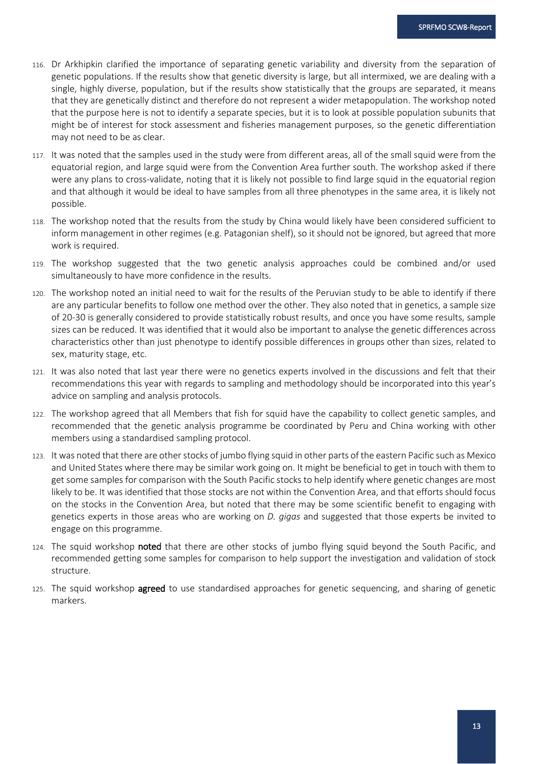- 116. Dr Arkhipkin clarified the importance of separating genetic variability and diversity from the separation of genetic populations. If the results show that genetic diversity is large, but all intermixed, we are dealing with a single, highly diverse, population, but if the results show statistically that the groups are separated, it means that they are genetically distinct and therefore do not represent a wider metapopulation. The workshop noted that the purpose here is not to identify a separate species, but it is to look at possible population subunits that might be of interest for stock assessment and fisheries management purposes, so the genetic differentiation may not need to be as clear.
- 117. It was noted that the samples used in the study were from different areas, all of the small squid were from the equatorial region, and large squid were from the Convention Area further south. The workshop asked if there were any plans to cross-validate, noting that it is likely not possible to find large squid in the equatorial region and that although it would be ideal to have samples from all three phenotypes in the same area, it is likely not possible.
- 118. The workshop noted that the results from the study by China would likely have been considered sufficient to inform management in other regimes (e.g. Patagonian shelf), so it should not be ignored, but agreed that more work is required.
- 119. The workshop suggested that the two genetic analysis approaches could be combined and/or used simultaneously to have more confidence in the results.
- 120. The workshop noted an initial need to wait for the results of the Peruvian study to be able to identify if there are any particular benefits to follow one method over the other. They also noted that in genetics, a sample size of 20-30 is generally considered to provide statistically robust results, and once you have some results, sample sizes can be reduced. It was identified that it would also be important to analyse the genetic differences across characteristics other than just phenotype to identify possible differences in groups other than sizes, related to sex, maturity stage, etc.
- 121. It was also noted that last year there were no genetics experts involved in the discussions and felt that their recommendations this year with regards to sampling and methodology should be incorporated into this year's advice on sampling and analysis protocols.
- 122. The workshop agreed that all Members that fish for squid have the capability to collect genetic samples, and recommended that the genetic analysis programme be coordinated by Peru and China working with other members using a standardised sampling protocol.
- 123. It was noted that there are other stocks of jumbo flying squid in other parts of the eastern Pacific such as Mexico and United States where there may be similar work going on. It might be beneficial to get in touch with them to get some samples for comparison with the South Pacific stocks to help identify where genetic changes are most likely to be. It was identified that those stocks are not within the Convention Area, and that efforts should focus on the stocks in the Convention Area, but noted that there may be some scientific benefit to engaging with genetics experts in those areas who are working on *D. gigas* and suggested that those experts be invited to engage on this programme.
- 124. The squid workshop **noted** that there are other stocks of jumbo flying squid beyond the South Pacific, and recommended getting some samples for comparison to help support the investigation and validation of stock structure.
- 125. The squid workshop **agreed** to use standardised approaches for genetic sequencing, and sharing of genetic markers.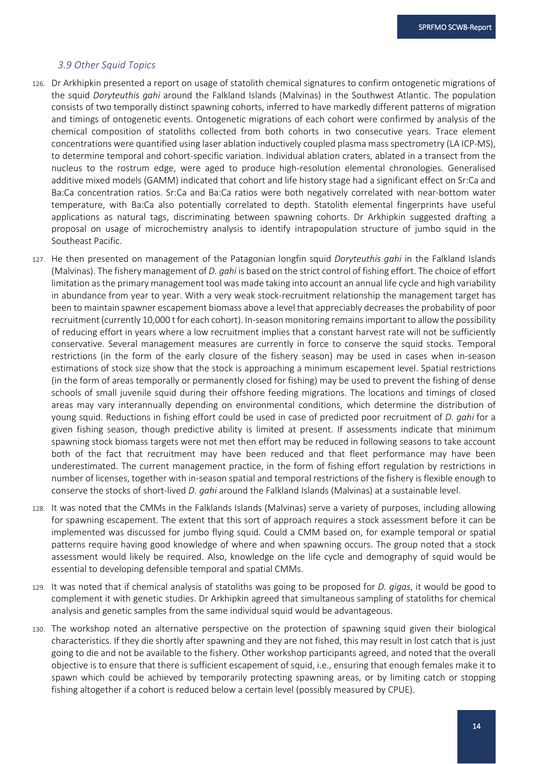#### *3.9 Other Squid Topics*

- 126. Dr Arkhipkin presented a report on usage of statolith chemical signatures to confirm ontogenetic migrations of the squid *Doryteuthis gahi* around the Falkland Islands (Malvinas) in the Southwest Atlantic. The population consists of two temporally distinct spawning cohorts, inferred to have markedly different patterns of migration and timings of ontogenetic events. Ontogenetic migrations of each cohort were confirmed by analysis of the chemical composition of statoliths collected from both cohorts in two consecutive years. Trace element concentrations were quantified using laser ablation inductively coupled plasma mass spectrometry (LA ICP-MS), to determine temporal and cohort-specific variation. Individual ablation craters, ablated in a transect from the nucleus to the rostrum edge, were aged to produce high-resolution elemental chronologies. Generalised additive mixed models (GAMM) indicated that cohort and life history stage had a significant effect on Sr:Ca and Ba:Ca concentration ratios. Sr:Ca and Ba:Ca ratios were both negatively correlated with near-bottom water temperature, with Ba:Ca also potentially correlated to depth. Statolith elemental fingerprints have useful applications as natural tags, discriminating between spawning cohorts. Dr Arkhipkin suggested drafting a proposal on usage of microchemistry analysis to identify intrapopulation structure of jumbo squid in the Southeast Pacific.
- 127. He then presented on management of the Patagonian longfin squid *Doryteuthis gahi* in the Falkland Islands (Malvinas). The fishery management of *D. gahi* is based on the strict control of fishing effort. The choice of effort limitation as the primary management tool was made taking into account an annual life cycle and high variability in abundance from year to year. With a very weak stock-recruitment relationship the management target has been to maintain spawner escapement biomass above a level that appreciably decreases the probability of poor recruitment (currently 10,000 t for each cohort). In-season monitoring remains important to allow the possibility of reducing effort in years where a low recruitment implies that a constant harvest rate will not be sufficiently conservative. Several management measures are currently in force to conserve the squid stocks. Temporal restrictions (in the form of the early closure of the fishery season) may be used in cases when in-season estimations of stock size show that the stock is approaching a minimum escapement level. Spatial restrictions (in the form of areas temporally or permanently closed for fishing) may be used to prevent the fishing of dense schools of small juvenile squid during their offshore feeding migrations. The locations and timings of closed areas may vary interannually depending on environmental conditions, which determine the distribution of young squid. Reductions in fishing effort could be used in case of predicted poor recruitment of *D. gahi* for a given fishing season, though predictive ability is limited at present. If assessments indicate that minimum spawning stock biomass targets were not met then effort may be reduced in following seasons to take account both of the fact that recruitment may have been reduced and that fleet performance may have been underestimated. The current management practice, in the form of fishing effort regulation by restrictions in number of licenses, together with in-season spatial and temporal restrictions of the fishery is flexible enough to conserve the stocks of short-lived *D. gahi* around the Falkland Islands (Malvinas) at a sustainable level.
- 128. It was noted that the CMMs in the Falklands Islands (Malvinas) serve a variety of purposes, including allowing for spawning escapement. The extent that this sort of approach requires a stock assessment before it can be implemented was discussed for jumbo flying squid. Could a CMM based on, for example temporal or spatial patterns require having good knowledge of where and when spawning occurs. The group noted that a stock assessment would likely be required. Also, knowledge on the life cycle and demography of squid would be essential to developing defensible temporal and spatial CMMs.
- 129. It was noted that if chemical analysis of statoliths was going to be proposed for *D. gigas*, it would be good to complement it with genetic studies. Dr Arkhipkin agreed that simultaneous sampling of statoliths for chemical analysis and genetic samples from the same individual squid would be advantageous.
- 130. The workshop noted an alternative perspective on the protection of spawning squid given their biological characteristics. If they die shortly after spawning and they are not fished, this may result in lost catch that is just going to die and not be available to the fishery. Other workshop participants agreed, and noted that the overall objective is to ensure that there is sufficient escapement of squid, i.e., ensuring that enough females make it to spawn which could be achieved by temporarily protecting spawning areas, or by limiting catch or stopping fishing altogether if a cohort is reduced below a certain level (possibly measured by CPUE).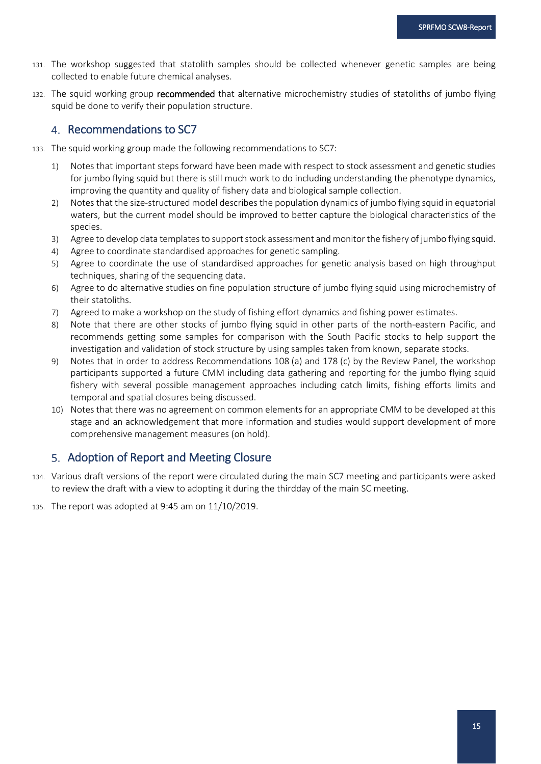- 131. The workshop suggested that statolith samples should be collected whenever genetic samples are being collected to enable future chemical analyses.
- 132. The squid working group recommended that alternative microchemistry studies of statoliths of jumbo flying squid be done to verify their population structure.

### <span id="page-18-0"></span>4. Recommendations to SC7

- 133. The squid working group made the following recommendations to SC7:
	- 1) Notes that important steps forward have been made with respect to stock assessment and genetic studies for jumbo flying squid but there is still much work to do including understanding the phenotype dynamics, improving the quantity and quality of fishery data and biological sample collection.
	- 2) Notes that the size-structured model describes the population dynamics of jumbo flying squid in equatorial waters, but the current model should be improved to better capture the biological characteristics of the species.
	- 3) Agree to develop data templates to support stock assessment and monitor the fishery of jumbo flying squid.
	- 4) Agree to coordinate standardised approaches for genetic sampling.
	- 5) Agree to coordinate the use of standardised approaches for genetic analysis based on high throughput techniques, sharing of the sequencing data.
	- 6) Agree to do alternative studies on fine population structure of jumbo flying squid using microchemistry of their statoliths.
	- 7) Agreed to make a workshop on the study of fishing effort dynamics and fishing power estimates.
	- 8) Note that there are other stocks of jumbo flying squid in other parts of the north-eastern Pacific, and recommends getting some samples for comparison with the South Pacific stocks to help support the investigation and validation of stock structure by using samples taken from known, separate stocks.
	- 9) Notes that in order to address Recommendations 108 (a) and 178 (c) by the Review Panel, the workshop participants supported a future CMM including data gathering and reporting for the jumbo flying squid fishery with several possible management approaches including catch limits, fishing efforts limits and temporal and spatial closures being discussed.
	- 10) Notes that there was no agreement on common elements for an appropriate CMM to be developed at this stage and an acknowledgement that more information and studies would support development of more comprehensive management measures (on hold).

### <span id="page-18-1"></span>5. Adoption of Report and Meeting Closure

- 134. Various draft versions of the report were circulated during the main SC7 meeting and participants were asked to review the draft with a view to adopting it during the thirdday of the main SC meeting.
- 135. The report was adopted at 9:45 am on 11/10/2019.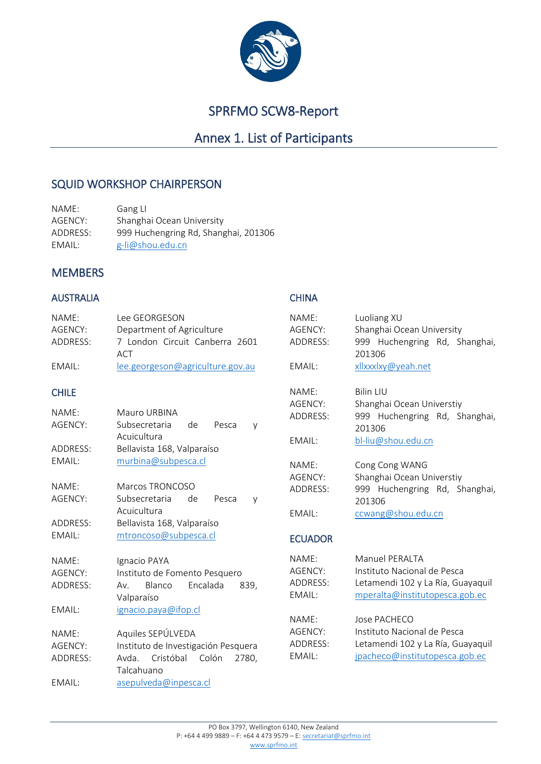

## SPRFMO SCW8-Report

## Annex 1. List of Participants

### <span id="page-19-0"></span>SQUID WORKSHOP CHAIRPERSON

NAME: Gang LI AGENCY: Shanghai Ocean University ADDRESS: 999 Huchengring Rd, Shanghai, 201306 EMAIL: [g-li@shou.edu.cn](mailto:g-li@shou.edu.cn)

### **MEMBERS**

#### AUSTRALIA NAME: Lee GEORGESON AGENCY: Department of Agriculture ADDRESS: 7 London Circuit Canberra 2601 ACT EMAIL: [lee.georgeson@agriculture.gov.au](mailto:lee.georgeson@agriculture.gov.au) CHILE NAME: Mauro URBINA AGENCY: Subsecretaria de Pesca y Acuicultura ADDRESS: Bellavista 168, Valparaíso EMAIL: [murbina@subpesca.cl](mailto:murbina@subpesca.cl)  NAME: Marcos TRONCOSO AGENCY: Subsecretaria de Pesca y Acuicultura ADDRESS: Bellavista 168, Valparaíso EMAIL: [mtroncoso@subpesca.cl](mailto:mtroncoso@subpesca.cl) NAME: Ignacio PAYA AGENCY: Instituto de Fomento Pesquero ADDRESS: Av. Blanco Encalada 839, Valparaíso EMAIL: [ignacio.paya@ifop.cl](mailto:ignacio.paya@ifop.cl)  NAME: Aquiles SEPÚLVEDA AGENCY: Instituto de Investigación Pesquera ADDRESS: Avda. Cristóbal Colón 2780, Talcahuano EMAIL: [asepulveda@inpesca.cl](mailto:asepulveda@inpesca.cl) **CHINA** NAME: Luoliang XU AGENCY: Shanghai Ocean University ADDRESS: 999 Huchengring Rd, Shanghai, 201306 EMAIL: [xllxxxlxy@yeah.net](mailto:xllxxxlxy@yeah.net) NAME: Bilin LIU AGENCY: Shanghai Ocean Universtiy ADDRESS: 999 Huchengring Rd, Shanghai, 201306 EMAIL: [bl-liu@shou.edu.cn](mailto:bl-liu@shou.edu.cn)  NAME: Cong Cong WANG AGENCY: Shanghai Ocean Universtiy ADDRESS: 999 Huchengring Rd, Shanghai, 201306 EMAIL: [ccwang@shou.edu.cn](mailto:ccwang@shou.edu.cn) **ECUADOR** NAME: Manuel PERALTA AGENCY: Instituto Nacional de Pesca ADDRESS: Letamendi 102 y La Ría, Guayaquil EMAIL: [mperalta@institutopesca.gob.ec](mailto:mperalta@institutopesca.gob.ec) NAME: Jose PACHECO AGENCY: Instituto Nacional de Pesca ADDRESS: Letamendi 102 y La Ría, Guayaquil EMAIL: [jpacheco@institutopesca.gob.ec](mailto:jpacheco@institutopesca.gob.ec)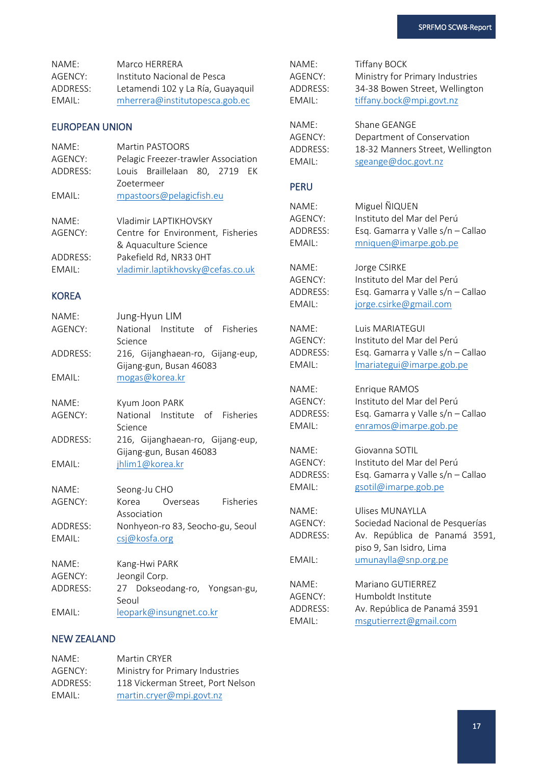NAME: Marco HERRERA AGENCY: Instituto Nacional de Pesca ADDRESS: Letamendi 102 y La Ría, Guayaquil EMAIL: [mherrera@institutopesca.gob.ec](mailto:mherrera@institutopesca.gob.ec)

### EUROPEAN UNION

NAME: Martin PASTOORS AGENCY: Pelagic Freezer-trawler Association ADDRESS: Louis Braillelaan 80, 2719 EK Zoetermeer EMAIL: [mpastoors@pelagicfish.eu](mailto:mpastoors@pelagicfish.eu)

| NAME:    | Vladimir LAPTIKHOVSKY             |
|----------|-----------------------------------|
| AGENCY:  | Centre for Environment, Fisheries |
|          | & Aquaculture Science             |
| ADDRESS: | Pakefield Rd, NR33 OHT            |
| EMAIL:   | vladimir.laptikhovsky@cefas.co.uk |

#### KOREA

| NAME:                        | Jung-Hyun LIM                                                   |
|------------------------------|-----------------------------------------------------------------|
| <b>AGENCY:</b>               | National Institute of Fisheries<br>Science                      |
| ADDRESS:                     | 216, Gijanghaean-ro, Gijang-eup,<br>Gijang-gun, Busan 46083     |
| EMAIL:                       | mogas@korea.kr                                                  |
| NAME:                        | Kyum Joon PARK                                                  |
| <b>AGENCY:</b>               | National Institute of Fisheries<br>Science                      |
| ADDRESS:                     | 216, Gijanghaean-ro, Gijang-eup,<br>Gijang-gun, Busan 46083     |
| EMAIL:                       | jhlim1@korea.kr                                                 |
| NAME:                        | Seong-Ju CHO                                                    |
| AGFNCY:                      | Fisheries<br>Overseas<br>Korea<br>Association                   |
| ADDRESS:                     | Nonhyeon-ro 83, Seocho-gu, Seoul                                |
| EMAIL:                       | csj@kosfa.org                                                   |
| NAME:<br>AGENCY:<br>ADDRESS: | Kang-Hwi PARK<br>Jeongil Corp.<br>27 Dokseodang-ro, Yongsan-gu, |
|                              | Seoul                                                           |

EMAIL: [leopark@insungnet.co.kr](mailto:leopark@insungnet.co.kr) 

### NEW ZEALAND

| NAME:    | Martin CRYFR                      |
|----------|-----------------------------------|
| AGENCY:  | Ministry for Primary Industries   |
| ADDRESS: | 118 Vickerman Street, Port Nelson |
| EMAIL:   | martin.cryer@mpi.govt.nz          |

| NAME:<br>AGENCY:<br>ADDRESS:<br>EMAIL: | <b>Tiffany BOCK</b><br>Ministry for Primary Industries<br>34-38 Bowen Street, Wellington<br>tiffany.bock@mpi.govt.nz |
|----------------------------------------|----------------------------------------------------------------------------------------------------------------------|
| NAME:<br>AGENCY:<br>ADDRESS:<br>EMAIL: | <b>Shane GEANGE</b><br>Department of Conservation<br>18-32 Manners Street, Wellington<br>sgeange@doc.govt.nz         |
| <b>PERU</b>                            |                                                                                                                      |
| NAME:<br>AGENCY:<br>ADDRESS:<br>EMAIL: | Miguel ÑIQUEN<br>Instituto del Mar del Perú<br>Esq. Gamarra y Valle s/n - Callao<br>mniquen@imarpe.gob.pe            |
| NAME:<br>AGENCY:<br>ADDRESS:<br>EMAIL: | Jorge CSIRKE<br>Instituto del Mar del Perú<br>Esq. Gamarra y Valle s/n - Callao<br>jorge.csirke@gmail.com            |
| NAME:<br>AGENCY:<br>ADDRESS:<br>EMAIL: | Luis MARIATEGUI<br>Instituto del Mar del Perú<br>Esq. Gamarra y Valle s/n - Callao<br>Imariategui@imarpe.gob.pe      |
| NAME:<br>AGENCY:<br>ADDRESS:<br>EMAIL: | Enrique RAMOS<br>Instituto del Mar del Perú<br>Esq. Gamarra y Valle s/n - Callao<br>enramos@imarpe.gob.pe            |
| NAME:<br>AGENCY:<br>ADDRESS:<br>EMAIL: | Giovanna SOTIL<br>Instituto del Mar del Perú<br>Esq. Gamarra y Valle s/n - Callao<br>gsotil@imarpe.gob.pe            |
| NAME:<br>AGENCY:<br>ADDRESS.           | Ulises MUNAYLLA<br>Sociedad Nacional de Pesquerías<br>Ay República de Panamá 3501                                    |

ADDRESS: Av. República de Panamá 3591, piso 9, San Isidro, Lima EMAIL: [umunaylla@snp.org.pe](mailto:umunaylla@snp.org.pe)

NAME: Mariano GUTIERREZ AGENCY: Humboldt Institute ADDRESS: Av. República de Panamá 3591 EMAIL: [msgutierrezt@gmail.com](mailto:msgutierrezt@gmail.com)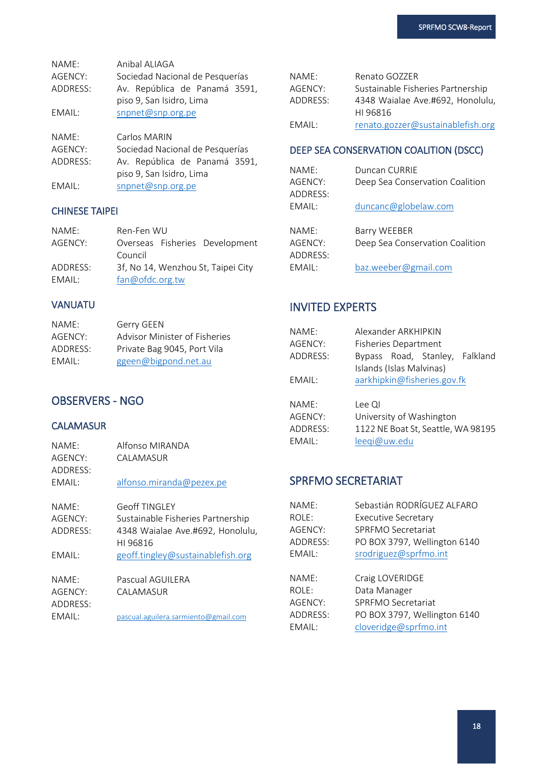| NAME:<br>AGFNCY:<br>ADDRESS: | Anibal ALIAGA<br>Sociedad Nacional de Pesquerías<br>Av. República de Panamá 3591,<br>piso 9, San Isidro, Lima |
|------------------------------|---------------------------------------------------------------------------------------------------------------|
| FMAII:                       | snpnet@snp.org.pe                                                                                             |
| NAMF:                        | Carlos MARIN                                                                                                  |
| AGFNCY:                      | Sociedad Nacional de Pesquerías                                                                               |
| ADDRESS:                     | Av. República de Panamá 3591,                                                                                 |
|                              | piso 9, San Isidro, Lima                                                                                      |
| EMAIL:                       | snpnet@snp.org,pe                                                                                             |

#### CHINESE TAIPEI

| Council |                                                                                                       |
|---------|-------------------------------------------------------------------------------------------------------|
|         |                                                                                                       |
|         |                                                                                                       |
|         | Ren-Fen WU<br>Overseas Fisheries Development<br>3f, No 14, Wenzhou St, Taipei City<br>fan@ofdc.org.tw |

### VANUATU

| Gerry GEEN                    |
|-------------------------------|
| Advisor Minister of Fisheries |
| Private Bag 9045, Port Vila   |
| ggeen@bigpond.net.au          |
|                               |

### OBSERVERS - NGO

### **CALAMASUR**

| NAME:    | Alfonso MIRANDA          |
|----------|--------------------------|
| AGENCY:  | CALAMASUR                |
| ADDRESS: |                          |
| EMAIL:   | alfonso.miranda@pezex.pe |
|          |                          |

NAME: Geoff TINGLEY AGENCY: Sustainable Fisheries Partnership ADDRESS: 4348 Waialae Ave.#692, Honolulu, HI 96816 EMAIL: [geoff.tingley@sustainablefish.org](mailto:geoff.tingley@sustainablefish.org) NAME: Pascual AGUILERA AGENCY: CALAMASUR ADDRESS:

EMAIL: [pascual.aguilera.sarmiento@gmail.com](mailto:pascual.aguilera.sarmiento@gmail.com)

| NAME:    | Renato GOZZER                     |
|----------|-----------------------------------|
| AGENCY:  | Sustainable Fisheries Partnership |
| ADDRESS: | 4348 Waialae Ave.#692, Honolulu,  |
|          | HI 96816                          |
| EMAIL:   | renato.gozzer@sustainablefish.org |

#### DEEP SEA CONSERVATION COALITION (DSCC)

| NAMF:    | Duncan CURRIF                   |
|----------|---------------------------------|
| AGFNCY:  | Deep Sea Conservation Coalition |
| ADDRESS: |                                 |
| FMAII:   | duncanc@globelaw.com            |
|          |                                 |
| NAMF:    | Barry WEEBER                    |
| AGENCY:  | Deep Sea Conservation Coalition |
| ADDRESS: |                                 |
| FMAII:   | baz.weeber@gmail.com            |

### INVITED EXPERTS

| NAME:    | Alexander ARKHIPKIN                |
|----------|------------------------------------|
| AGENCY:  | <b>Fisheries Department</b>        |
| ADDRESS: | Falkland<br>Bypass Road, Stanley,  |
|          | Islands (Islas Malvinas)           |
| EMAIL:   | aarkhipkin@fisheries.gov.fk        |
|          |                                    |
| NAME:    | Lee QI                             |
| AGENCY:  | University of Washington           |
| ADDRESS: | 1122 NE Boat St, Seattle, WA 98195 |
| EMAIL:   | leeqi@uw.edu                       |

### SPRFMO SECRETARIAT

| NAME:    | Sebastián RODRÍGUEZ ALFARO   |
|----------|------------------------------|
| ROIF:    | <b>Executive Secretary</b>   |
| AGFNCY:  | SPREMO Secretariat           |
| ADDRESS: | PO BOX 3797, Wellington 6140 |
| FMAII:   | srodriguez@sprfmo.int        |
|          |                              |
| NAMF:    | Craig LOVERIDGE              |
| ROIF:    | Data Manager                 |
| AGFNCY:  | SPRFMO Secretariat           |
| ADDRESS: | PO BOX 3797, Wellington 6140 |
| FMAII:   | cloveridge@sprfmo.int        |
|          |                              |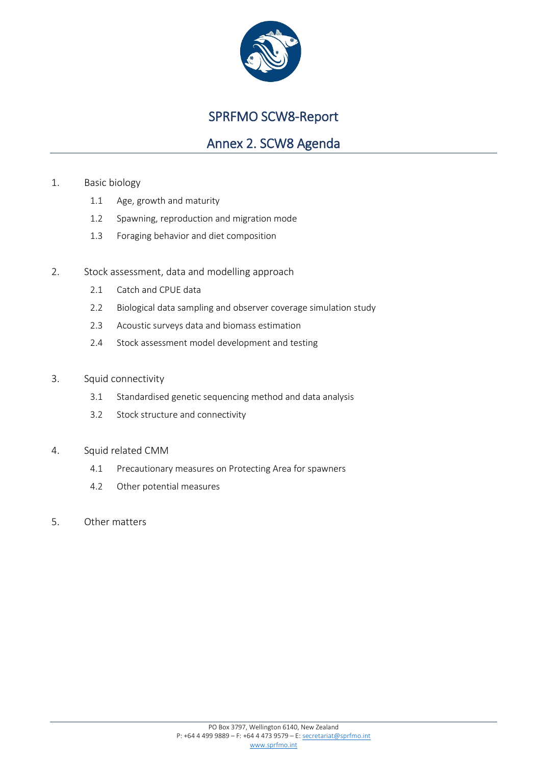

## SPRFMO SCW8-Report

## Annex 2. SCW8 Agenda

### <span id="page-22-0"></span>1. Basic biology

- 1.1 Age, growth and maturity
- 1.2 Spawning, reproduction and migration mode
- 1.3 Foraging behavior and diet composition

### 2. Stock assessment, data and modelling approach

- 2.1 Catch and CPUE data
- 2.2 Biological data sampling and observer coverage simulation study
- 2.3 Acoustic surveys data and biomass estimation
- 2.4 Stock assessment model development and testing

### 3. Squid connectivity

- 3.1 Standardised genetic sequencing method and data analysis
- 3.2 Stock structure and connectivity

### 4. Squid related CMM

- 4.1 Precautionary measures on Protecting Area for spawners
- 4.2 Other potential measures
- 5. Other matters